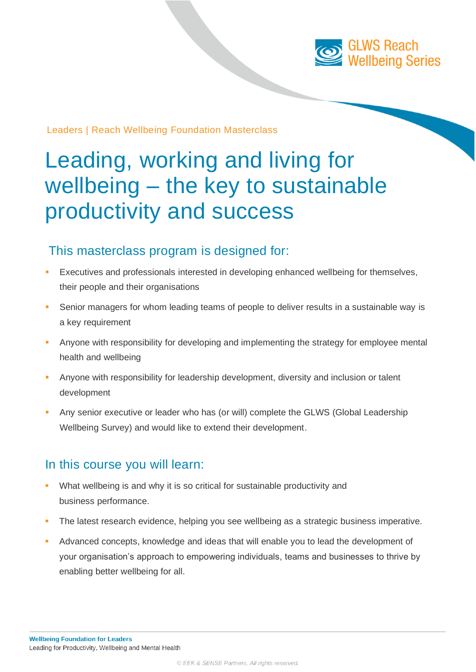

#### Leaders | Reach Wellbeing Foundation Masterclass

# Leading, working and living for wellbeing – the key to sustainable productivity and success

### This masterclass program is designed for:

- Executives and professionals interested in developing enhanced wellbeing for themselves, their people and their organisations
- Senior managers for whom leading teams of people to deliver results in a sustainable way is a key requirement
- Anyone with responsibility for developing and implementing the strategy for employee mental health and wellbeing
- Anyone with responsibility for leadership development, diversity and inclusion or talent development
- Any senior executive or leader who has (or will) complete the GLWS (Global Leadership Wellbeing Survey) and would like to extend their development.

#### In this course you will learn:

- What wellbeing is and why it is so critical for sustainable productivity and business performance.
- The latest research evidence, helping you see wellbeing as a strategic business imperative.
- Advanced concepts, knowledge and ideas that will enable you to lead the development of your organisation's approach to empowering individuals, teams and businesses to thrive by enabling better wellbeing for all.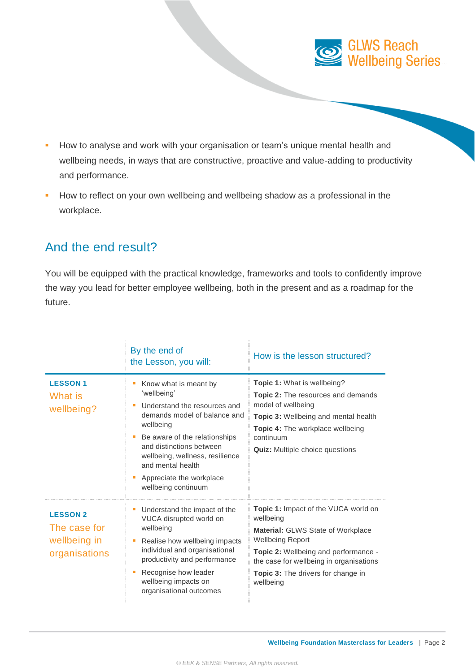

- **E** How to analyse and work with your organisation or team's unique mental health and wellbeing needs, in ways that are constructive, proactive and value-adding to productivity and performance.
- **EXECT** How to reflect on your own wellbeing and wellbeing shadow as a professional in the workplace.

## And the end result?

You will be equipped with the practical knowledge, frameworks and tools to confidently improve the way you lead for better employee wellbeing, both in the present and as a roadmap for the future.

|                                                                  | By the end of<br>the Lesson, you will:                                                                                                                                                                                                                                                    | How is the lesson structured?                                                                                                                                                                                                                                                |
|------------------------------------------------------------------|-------------------------------------------------------------------------------------------------------------------------------------------------------------------------------------------------------------------------------------------------------------------------------------------|------------------------------------------------------------------------------------------------------------------------------------------------------------------------------------------------------------------------------------------------------------------------------|
| <b>LESSON1</b><br>What is<br>wellbeing?                          | Know what is meant by<br>'wellbeing'<br>Understand the resources and<br>demands model of balance and<br>wellbeing<br>Be aware of the relationships<br>and distinctions between<br>wellbeing, wellness, resilience<br>and mental health<br>Appreciate the workplace<br>wellbeing continuum | <b>Topic 1: What is wellbeing?</b><br><b>Topic 2:</b> The resources and demands<br>model of wellbeing<br><b>Topic 3: Wellbeing and mental health</b><br><b>Topic 4:</b> The workplace wellbeing<br>continuum<br><b>Quiz:</b> Multiple choice questions                       |
| <b>LESSON 2</b><br>The case for<br>wellbeing in<br>organisations | Understand the impact of the<br>п<br>VUCA disrupted world on<br>wellbeing<br>Realise how wellbeing impacts<br>individual and organisational<br>productivity and performance<br>Recognise how leader<br>wellbeing impacts on<br>organisational outcomes                                    | <b>Topic 1:</b> Impact of the VUCA world on<br>wellbeing<br><b>Material: GLWS State of Workplace</b><br><b>Wellbeing Report</b><br>Topic 2: Wellbeing and performance -<br>the case for wellbeing in organisations<br><b>Topic 3:</b> The drivers for change in<br>wellbeing |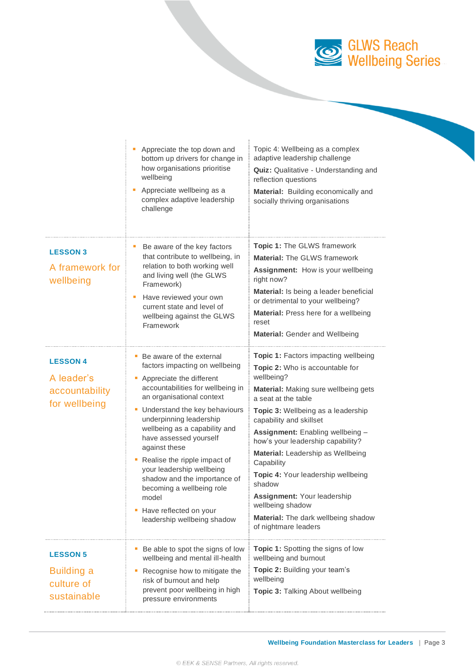

|                                                                   | Appreciate the top down and<br>bottom up drivers for change in<br>how organisations prioritise<br>wellbeing<br>Appreciate wellbeing as a<br>complex adaptive leadership<br>challenge                                                                                                                                                                                                                                                                                                             | Topic 4: Wellbeing as a complex<br>adaptive leadership challenge<br>Quiz: Qualitative - Understanding and<br>reflection questions<br>Material: Building economically and<br>socially thriving organisations                                                                                                                                                                                                                                                                                                                |
|-------------------------------------------------------------------|--------------------------------------------------------------------------------------------------------------------------------------------------------------------------------------------------------------------------------------------------------------------------------------------------------------------------------------------------------------------------------------------------------------------------------------------------------------------------------------------------|----------------------------------------------------------------------------------------------------------------------------------------------------------------------------------------------------------------------------------------------------------------------------------------------------------------------------------------------------------------------------------------------------------------------------------------------------------------------------------------------------------------------------|
| <b>LESSON 3</b><br>A framework for<br>wellbeing                   | Be aware of the key factors<br>that contribute to wellbeing, in<br>relation to both working well<br>and living well (the GLWS<br>Framework)<br>Have reviewed your own<br>ш<br>current state and level of<br>wellbeing against the GLWS<br>Framework                                                                                                                                                                                                                                              | <b>Topic 1: The GLWS framework</b><br><b>Material: The GLWS framework</b><br>Assignment: How is your wellbeing<br>right now?<br>Material: Is being a leader beneficial<br>or detrimental to your wellbeing?<br>Material: Press here for a wellbeing<br>reset<br><b>Material: Gender and Wellbeing</b>                                                                                                                                                                                                                      |
| <b>LESSON 4</b><br>A leader's<br>accountability<br>for wellbeing  | • Be aware of the external<br>factors impacting on wellbeing<br>• Appreciate the different<br>accountabilities for wellbeing in<br>an organisational context<br>Understand the key behaviours<br>underpinning leadership<br>wellbeing as a capability and<br>have assessed yourself<br>against these<br>Realise the ripple impact of<br>your leadership wellbeing<br>shadow and the importance of<br>becoming a wellbeing role<br>model<br>Have reflected on your<br>leadership wellbeing shadow | <b>Topic 1:</b> Factors impacting wellbeing<br>Topic 2: Who is accountable for<br>wellbeing?<br>Material: Making sure wellbeing gets<br>a seat at the table<br>Topic 3: Wellbeing as a leadership<br>capability and skillset<br>Assignment: Enabling wellbeing -<br>how's your leadership capability?<br>Material: Leadership as Wellbeing<br>Capability<br>Topic 4: Your leadership wellbeing<br>shadow<br>Assignment: Your leadership<br>wellbeing shadow<br>Material: The dark wellbeing shadow<br>of nightmare leaders |
| <b>LESSON 5</b><br><b>Building a</b><br>culture of<br>sustainable | Be able to spot the signs of low<br>wellbeing and mental ill-health<br>Recognise how to mitigate the<br>risk of burnout and help<br>prevent poor wellbeing in high<br>pressure environments                                                                                                                                                                                                                                                                                                      | <b>Topic 1:</b> Spotting the signs of low<br>wellbeing and burnout<br>Topic 2: Building your team's<br>wellbeing<br>Topic 3: Talking About wellbeing                                                                                                                                                                                                                                                                                                                                                                       |